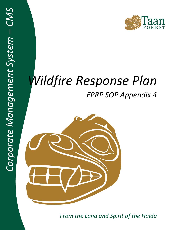# *Wildfire Response Plan EPRP SOP Appendix 4*



*From the Land and Spirit of the Haida*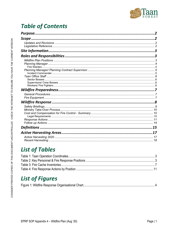

# **Table of Contents**

| Purpose. |    |
|----------|----|
|          |    |
|          |    |
|          |    |
|          |    |
|          |    |
|          |    |
|          |    |
|          |    |
|          |    |
|          |    |
|          |    |
|          |    |
|          |    |
|          |    |
|          |    |
|          |    |
|          |    |
|          |    |
|          |    |
|          |    |
|          |    |
|          |    |
|          |    |
|          | 15 |
|          |    |
|          |    |
|          |    |

# **List of Tables**

# **List of Figures**

|--|--|--|--|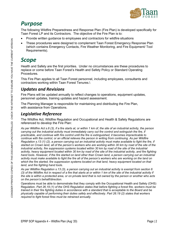

# <span id="page-2-0"></span>*Purpose*

The following Wildfire Preparedness and Response Plan (Fire Plan) is developed specifically for Taan Forest LP and its Contractors. The objective of the Fire Plan is to:

- Provide written guidance to employees and contractors for wildfire situations
- These procedures were designed to complement Taan Forest Emergency Response Plan (which contains Emergency Contacts, Fire Weather Monitoring, and Fire Equipment/ Tool Requirements).

# <span id="page-2-1"></span>*Scope*

Health and Safety are the first priorities. Under no circumstances are these procedures to replace or come before Taan Forest's Health and Safety Policy or Standard Operating Procedures.

This Fire Plan applies to all Taan Forest personnel, including employees, consultants and contractors working within Taan Forest Tenures.\

## <span id="page-2-2"></span>*Updates and Revisions*

Fire Plans will be updated annually to reflect changes to operations, equipment updates, personnel updates, training updates and hazard assessment.

The Planning Manager is responsible for maintaining and distributing the Fire Plan, with assistance from Operations.

# <span id="page-2-3"></span>*Legislative Reference*

The Wildfire Act, Wildfire Regulation and Occupational and Health & Safety Regulations are referenced to develop the Fire Plan:

*As per Wildfire Act s.6 (3), if a fire starts at, or within 1 km of, the site of an industrial activity, the person carrying out the industrial activity must immediately carry out fire control and extinguish the fire, if practicable, and continue with fire control until the fire is extinguished, it becomes impracticable to continue with fire control, or an official relieves the person in writing from continuing. As per Wildfire Regulation s.13 (1) (2), a person carrying out an industrial activity must make available to fight the fire, if started on Crown land, all of the person's workers who are working within 30 km by road of the site of the industrial activity, fire suppression systems located within 30 km by road of the site of the industrial activity, heavy equipment located within 30 km by road of the site of the industrial activity, and fire fighting hand tools. However, if the fire started on land other than Crown land, a person carrying out an industrial activity must make available to fight the fire all of the person's workers who are working on the land on which the fire started, fire suppression systems located on that land, heavy equipment located on that land, and fire fighting hand tools.*

*As per Wildfire Regulation s.13 (3), a person carrying out an industrial activity is exempt from section 6 (3) of the Wildfire Act in respect of a fire that starts at or within 1 km of the site of the industrial activity if the site is within a protected area, or on private land that is not owned by the person or another who acts on the person's behalf/direction.*

Operations must be able to demonstrate that they comply with the Occupational Health and Safety (OHS) Regulation. *Part 26.19 (1) of the OHS Regulation states that before fighting a forest fire, workers must be trained in their fire fighting duties in accordance with a standard that is acceptable to the Board and be physically capable of performing their duties safely and effectively. Part 26.19 (2) states that workers required to fight forest fires must be retrained annually.*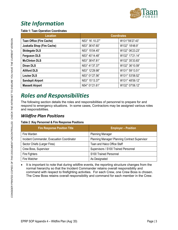

# <span id="page-3-0"></span>*Site Information*

#### <span id="page-3-3"></span>**Table 1: Taan Operation Coordinates**

| Location                          | <b>Coordinates</b> |                 |
|-----------------------------------|--------------------|-----------------|
| <b>Taan Office (Fire Cache)</b>   | N53° 16'.10.27"    | W131°59'27.43"  |
| <b>Juskatla Shop (Fire Cache)</b> | N53° 36'47.60"     | W132° 18'48.9"  |
| <b>Skidegate DLS</b>              | N53° 15'04.45"     | W132° 06'23.23" |
| <b>Ferguson DLS</b>               | N53° 40'14.48"     | W132° 17'21.14" |
| <b>McClinton DLS</b>              | N53° 38'47.81"     | W132° 35'33.83" |
| <b>Dinan DLS</b>                  | N53° 41'37.37"     | W132° 36'10.59" |
| <b>Alliford DLS</b>               | N53° 12'29.98"     | W131° 59'13.51" |
| <b>Louise DLS</b>                 | N53° 01'27.56"     | W131° 53'58.52" |
| <b>Sandspit Airport</b>           | N53° 15'13.37"     | W131° 48'59.12" |
| <b>Massett Airport</b>            | N54° 01'21.61"     | W132° 07'06.12" |

# <span id="page-3-1"></span>*Roles and Responsibilities*

The following section details the roles and responsibilities of personnel to prepare for and respond to emergency situations. In some cases, Contractors may be assigned various roles and responsibilities.

### <span id="page-3-2"></span>*Wildfire Plan Positions*

#### <span id="page-3-4"></span>**Table 2 :Key Personnel & Fire Response Positions**

| <b>Fire Response Position Title</b>        | <b>Employer - Position</b>                     |
|--------------------------------------------|------------------------------------------------|
| Fire Warden                                | <b>Planning Manager</b>                        |
| Incident Commander, Evacuation Coordinator | Planning Manager/ Planning Contract Supervisor |
| Sector Chiefs (Larger Fires)               | Taan and Haico Office Staff                    |
| Crew Boss, Supervisor                      | Supervisors / S100 Trained Personnel           |
| Fire Fighters                              | S100 Trained Personnel                         |
| Fire Watcher                               | As Designated                                  |

It is important to note that during wildfire events, the reporting structure changes from the normal hierarchy so that the Incident Commander retains overall responsibility and command with respect to firefighting activities. For each Crew, one Crew Boss is chosen. The Crew Boss retains overall responsibility and command for each member in the Crew.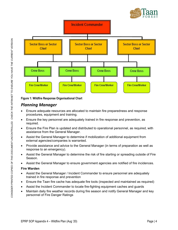



<span id="page-4-2"></span>**Figure 1: Wildfire Response Organisational Chart**

### <span id="page-4-0"></span>*Planning Manager*

- Ensure adequate resources are allocated to maintain fire preparedness and response procedures, equipment and training.
- Ensure the key personnel are adequately trained in fire response and prevention, as required.
- Ensure the Fire Plan is updated and distributed to operational personnel, as required, with assistance from the General Manager.
- Assist the General Manager to determine if mobilization of additional equipment from external agencies/companies is warranted.
- Provide assistance and advice to the General Manager (in terms of preparation as well as response to an emergency).
- Assist the General Manager to determine the risk of fire starting or spreading outside of Fire Season.
- Assist the General Manager to ensure government agencies are notified of fire incidences.

#### <span id="page-4-1"></span>**Fire Warden**

- Assist the General Manager / Incident Commander to ensure personnel are adequately trained in fire response and prevention
- Ensure the Taan fire cache has adequate fire tools (inspected and maintained as required)
- Assist the Incident Commander to locate fire-fighting equipment caches and guards
- Maintain daily fire weather records during fire season and notify General Manager and key personnel of Fire Danger Ratings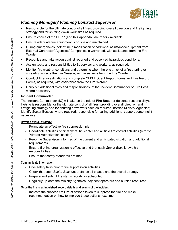

## <span id="page-5-0"></span>*Planning Manager/ Planning Contract Supervisor*

- Responsible for the ultimate control of all fires, providing overall direction and firefighting strategy and for shutting down work sites as required.
- Ensure copies of the EPRP (and this Appendix) are readily available.
- Ensure adequate fire equipment is on site and maintained.
- During emergencies, determine if mobilization of additional assistance/equipment from External Contractor/ Agencies/ Companies is warranted, with assistance from the Fire Warden.
- Recognize and take action against reported and observed hazardous conditions.
- Assign tasks and responsibilities to Supervisor and workers, as required.
- Monitor fire weather conditions and determine when there is a risk of a fire starting or spreading outside the Fire Season, with assistance from the Fire Warden.
- Conduct Fire Investigations and complete CMS Incident Report Forms and Fire Record Forms, as required, with assistance from the Fire Warden.
- Carry out additional roles and responsibilities, of the Incident Commander or Fire Boss where necessary

#### <span id="page-5-1"></span>**Incident Commander**

The Incident Commander (IC) will take on the role of **Fire Boss** (or delegate responsibility). He/she is responsible for the ultimate control of all fires, providing overall direction and firefighting strategy and for shutting down work sites as required; notifies Ministry Agencies; Identify Sector Bosses, where required; responsible for calling additional support personnel if necessary

#### **Develop overall strategy:**

- Formulate an effective fire suppression plan
- Coordinate activities of air tankers, helicopter and all field fire control activities (refer to 'Aircraft Authorization' section)
- Keep the Supervisors informed of the current and anticipated situation and additional requirements
- Ensure fire line organization is effective and that each *Sector Boss* knows his responsibilities
- Ensure that safety standards are met

#### **Communicate information:**

- Give safety talks prior to fire suppression activities
- Check that each *Sector Boss* understands all phases and the overall strategy
- Prepare and submit fire status reports as scheduled
- Regularly up-date the Ministry Agencies, adjacent operators and outside resources

#### **Once the fire is extinguished, record details and events of the incident:**

- Indicate the success / failure of actions taken to suppress the fire and make recommendation on how to improve these actions next time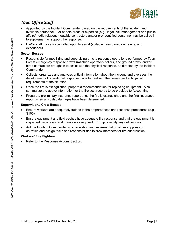

# <span id="page-6-0"></span>*Taan Office Staff*

- Appointed by the Incident Commander based on the requirements of the incident and available personnel. For certain areas of expertise (e.g., legal, risk management and public affairs/media relations), outside contractors and/or pre-identified personnel may be called in to supplement or support the response.
- HaiCo staff may also be called upon to assist (suitable roles based on training and experience).

#### <span id="page-6-1"></span>**Sector Bosses**

- Responsible for mobilizing and supervising on-site response operations performed by Taan Forest emergency response crews (machine operators, fallers, and ground crew), and/or hired contractors brought in to assist with the physical response, as directed by the Incident Commander.
- Collects, organizes and analyzes critical information about the incident, and oversees the development of operational response plans to deal with the current and anticipated requirements of the situation.
- Once the fire is extinguished, prepare a recommendation for replacing equipment. Also summarize the above information for the fire cost records to be provided to Accounting.
- Prepare a preliminary insurance report once the fire is extinguished and the final insurance report when all costs / damages have been determined.

#### <span id="page-6-2"></span>**Supervisors/ Crew Bosses**

- Ensure workers are adequately trained in fire preparedness and response procedures (e.g., S100).
- Ensure equipment and field caches have adequate fire response and that the equipment is inspected periodically and maintain as required. Promptly rectify any deficiencies.
- Aid the Incident Commander in organization and implementation of fire suppression activities and assign tasks and responsibilities to crew members for fire suppression.

#### <span id="page-6-3"></span>**Workers/ Fire Fighters**

• Refer to the Response Actions Section.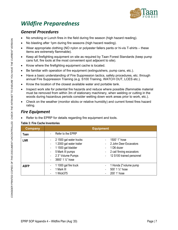

# <span id="page-7-0"></span>*Wildfire Preparedness*

### <span id="page-7-1"></span>*General Procedures*

- No smoking or Lunch fires in the field during fire season (high hazard reading).
- No blasting after 1pm during fire seasons (high hazard reading).
- Wear appropriate clothing (NO nylon or polyester fallers pants or hi-vis T-shirts these items are extremely flammable).
- Keep all firefighting equipment on site as required by Taan Forest Standards (keep pump cans full, fire tools at the most convenient spot adjacent to site).
- Know where the firefighting equipment cache is located.
- Be familiar with operation of fire equipment (extinguishers, pump cans, etc.).
- Have a basic understanding of Fire Suppression tactics, safety procedures, etc. through annual Fire Suppression Training (e.g. S100 Training, WATCH OUT, LCES etc.).
- Know the location of the closest available water and portable tank.
- Inspect work site for potential fire hazards and reduce where possible (flammable material must be removed from within 3m of stationary machinery, when welding or cutting in the woods during hazardous periods consider wetting down work areas prior to work, etc.).
- Check on the weather (monitor sticks or relative humidity) and current forest fires hazard rating.

### <span id="page-7-2"></span>*Fire Equipment*

Refer to the EPRP for details regarding fire equipment and tools.

#### <span id="page-7-3"></span>**Table 3: Fire Cache Inventories**

| Company     | <b>Equipment</b>                                                                                                                                                                                                                                                                                                            |
|-------------|-----------------------------------------------------------------------------------------------------------------------------------------------------------------------------------------------------------------------------------------------------------------------------------------------------------------------------|
| Taan        | Refer to the EPRP                                                                                                                                                                                                                                                                                                           |
| <b>LNR</b>  | 2 1500 gal water trucks<br>1500' 1" hose<br>1 2000 gal water trailer<br>2 John Deer Excavators<br>1 1500 gal bladder<br>1 D6 dozer<br>$\overline{\phantom{a}}$<br>5 Mark III pumps<br>2 cat/ finning excavators<br>$\qquad \qquad \blacksquare$<br>12 S100 trained personnel<br>2 3" Volume Pumps<br>-<br>3900' 1 1/2" hose |
| <b>ASFP</b> | 1 1000 gal fire truck<br>1 Honda 2"volume pump<br>1 Mark III<br>500' 1 1/2" hose<br>200' 1' hose<br>1 Wick375                                                                                                                                                                                                               |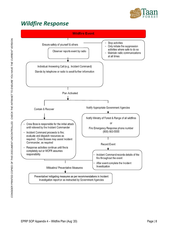

# <span id="page-8-0"></span>*Wildfire Response*

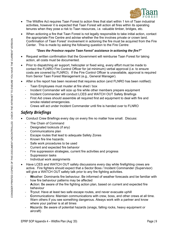

- The Wildfire Act requires Taan Forest to action fires that start within 1 km of Taan industrial activities, however it is expected that Taan Forest will action all fires within its operating tenures when they pose a risk to Taan resources, i.e. valuable timber, bridges, etc.
- When actioning a fire that Taan Forest is not legally responsible to take initial action, contact the appropriate Fire Centre and advise whether the fire involves private or crown land. Confirmation of Taan Forest' involvement in actioning the fire must be acquired from the Fire Center. This is made by asking the following question to the Fire Centre:

#### *"Does the Province require Taan Forest' assistance in actioning the fire?"*

- Request written confirmation that the Government will reimburse Taan Forest for taking action, all costs must be documented.
- Prior to dispatching air support, helicopter or fixed wing, every effort must be made to contact the FLNRO Fire Control Officer for (at minimum) verbal approval (i.e. to ensure costs are covered by FLNRO). If the Fire Control Officer is unavailable, approval is required from Senior Taan Forest Management (e.g., General Manager).
- After a fire report has been received that requires action (and FLNRO has been notified):
	- Taan Employees must muster at fire shed / box
	- Incident Commander will size up fire while other members prepare equipment
	- Incident Commander will conduct LCES and WATCH OUT Safety Briefings
	- First Aid crews should assemble all required first aid equipment to deal with fire and smoke related emergencies.
	- Crews will act under Incident Commander until fire is handed over to FLNRO

### <span id="page-9-0"></span>*Safety Briefings*

- Conduct Crew Briefings every day on every fire no matter how small. Discuss:
	- The Chain of Command
	- Designated lookouts (if any)
	- Communications plan
	- Escape routes that lead to adequate Safety Zones
	- Known fire line hazards.
	- Safe work procedures to be used
	- Current and expected fire behavior
	- Fire suppression strategies, current fire activities and progress
	- Suppression tasks
	- Individual work assignments
- Have LCES and WATCH OUT safety discussions every day while firefighting crews are active. Fire fighters should expect that a Sector Boss / Incident Commander (Supervisor) will give a WATCH OUT safety talk prior to any fire fighting activities.
	- **W**eather: Dominants fire behaviour. Be informed of weather forecasts and be familiar with how fire behaviour patterns may be affected
	- **A**ction: Be aware of the fire fighting action plan, based on current and expected fire behaviour
	- **T**ryout: Have at least two safe escape routes, and never evacuate uphill
	- **Communications: Maintain communications with crew, boss, and other crews at all time.** Warn others if you see something dangerous. Always work with a partner and know where your partner is at all times
	- **H**azards: Be aware of potential hazards (snags, falling rocks, heavy equipment or aircraft)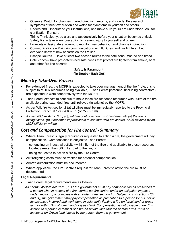

- **Observe: Watch for changes in wind direction, velocity, and clouds. Be aware of** symptoms of heat exhaustion and watch for symptoms in yourself and others
- Understand: Understand your instructions, and make sure yours are understood. Ask for clarification if unsure
- Think: Think clearly, be alert, and act decisively before your situation becomes critical.
- Safety first take every precaution to prevent injury to yourself and others
- **L**ookouts designate a lookout to monitor fires behaviour and change in direction
- **C**ommunications Maintain communications with IC, Crew and fire fighters. Let everyone know of new hazards on the fire line
- **E**scape Routes Have at least two escape routes to the safe zone, marked and timed
- **Safe Zones have pre-determined safe zones that protect fire fighters from smoke, heat** and other fire line hazards

#### **Safety Is Paramount If in Doubt – Back Out!**

### <span id="page-10-0"></span>*Ministry Take-Over Process*

- For extended fires, the MOFR is expected to take over management of the fire (note: this is subject to MOFR resources being available). Taan Forest personnel (including contractors) are expected to work cooperatively with the MOFR.
- Taan Forest expects to continue to make those fire response resources with 30km of the fire available during extended fires until relieved (in writing) by the MOFR.
- As per Wildfire Act section 2 (a) wildfires must be immediately reported to the Provincial Protection Branch at 1-800-663-555 (or \*5555 cell).
- *As per Wildfire Act s. 6 (3) (b), wildfire control action must continue until (a) the fire is extinguished, (b) it becomes impracticable to continue with fire control, or (c) relieved by an MOF official in writing.*

# <span id="page-10-1"></span>*Cost and Compensation for Fire Control - Summary*

- Where Taan Forest is legally required or requested to action a fire, the government will pay compensation. Compensation is subject to Taan Forest:
	- conducting an industrial activity (within 1km of the fire) and applicable to those resources located greater than 30km by road to the fire; or
	- being requested to action a fire by the Fire Centre.
- All firefighting costs must be tracked for potential compensation.
- Aircraft authorization must be documented.
- Where applicable, the Fire Centre's request for Taan Forest to action the fire must be documented.

#### <span id="page-10-2"></span>**Legal Requirements**

- Taan Forest' legal requirements are as follows:
	- *As per the Wildfire Act Part 2, s.17 the government must pay compensation as prescribed to a person who, in respect of a fire, carries out fire control under an obligation imposed under section 6, or complies with an order under section 16. Subject to subsections (3)*  and (4), the government may pay compensation as prescribed to a person for his, her or *its expenses incurred and work done in voluntarily fighting a fire on forest land or grass land or within 1km of forest land or grass land. Compensation is not payable under this section to a person in respect of a fire on private land that the person owns, rents or leases or on Crown land leased by the person from the government.*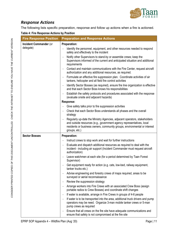

# <span id="page-11-0"></span>*Response Actions*

The following lists specific preparation, response and follow up actions when a fire is actioned.

<span id="page-11-1"></span>

|  |  | Table 4: Fire Response Actions by Position |  |  |  |
|--|--|--------------------------------------------|--|--|--|
|--|--|--------------------------------------------|--|--|--|

| <b>Fire Response Position</b>              | <b>Preparation and Response Actions</b>                                                                                                                                                                                                          |
|--------------------------------------------|--------------------------------------------------------------------------------------------------------------------------------------------------------------------------------------------------------------------------------------------------|
| <b>Incident Commander (or</b><br>delegate) | <b>Preparation:</b><br>Identify the personnel, equipment, and other resources needed to respond<br>safely and effectively to the incident                                                                                                        |
|                                            | Notify other Supervisors to stand-by or assemble crews; keep the<br>Supervisors informed of the current and anticipated situation and additional<br>requirements                                                                                 |
|                                            | Contact and maintain communications with the Fire Center, request aircraft<br>authorization and any additional resources, as required.                                                                                                           |
|                                            | Formulate an effective fire suppression plan. Coordinate activities of air<br>$\overline{\phantom{a}}$<br>tankers, helicopter and all field fire control activities                                                                              |
|                                            | Identify Sector Bosses (as required), ensure fire line organization is effective<br>and that each Sector Boss knows his responsibilities                                                                                                         |
|                                            | Establish the safety protocols and procedures associated with the response<br>(evaluate onsite and adjacent hazards)                                                                                                                             |
|                                            | Response:                                                                                                                                                                                                                                        |
|                                            | Give safety talks prior to fire suppression activities                                                                                                                                                                                           |
|                                            | Check that each Sector Boss understands all phases and the overall<br>strategy                                                                                                                                                                   |
|                                            | Regularly up-date the Ministry Agencies, adjacent operators, stakeholders<br>and outside resources (e.g., government agency representatives, local<br>residents or business owners, community groups, environmental or interest<br>groups, etc.) |
| <b>Sector Bosses</b>                       | <b>Preparation:</b>                                                                                                                                                                                                                              |
|                                            | Instruct crews to stop work and wait for further instructions<br>$\overline{\phantom{0}}$                                                                                                                                                        |
|                                            | Evaluate and dispatch additional resources as required to deal with the<br>incident - including air support (Incident Commander must request aircraft<br>authorization)                                                                          |
|                                            | Leave watchmen at each site (for a period determined by Taan Forest<br>Supervisor)                                                                                                                                                               |
|                                            | Get equipment ready for action (e.g. cats, low-bed, railway equipment,<br>tanker trucks etc.)                                                                                                                                                    |
|                                            | Advise engineering and forestry crews of maps required, areas to be<br>$\overline{\phantom{a}}$<br>surveyed or aerial reconnaissance                                                                                                             |
|                                            | Review the suppression strategy                                                                                                                                                                                                                  |
|                                            | Arrange workers into Fire Crews with an associated Crew Boss (assign<br>portable radios to Crew Bosses) and coordinate shift changes                                                                                                             |
|                                            | If water is available, arrange in Fire Crews in groups of 4-6 people                                                                                                                                                                             |
|                                            | If water is to be transported into the area, additional truck drivers and pump<br>operators may be need. Organize 3-man mobile tanker crews or 5-man<br>pump crews as required                                                                   |
|                                            | Ensure that all crews on the fire site have adequate communications and<br>ensure that safety is not compromised at the fire site                                                                                                                |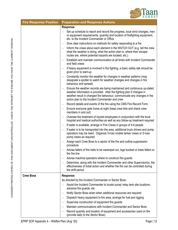

| <b>Fire Response Position</b> | <b>Preparation and Response Actions</b>                                                                                                                                                                                                                                          |  |
|-------------------------------|----------------------------------------------------------------------------------------------------------------------------------------------------------------------------------------------------------------------------------------------------------------------------------|--|
|                               | Response:                                                                                                                                                                                                                                                                        |  |
|                               | Set up schedule to report and record fire progress, local wind changes, men<br>or equipment requirements, quantity and location of firefighting equipment,<br>etc. to the Incident Commander or Office                                                                           |  |
|                               | Give clear instructions on methods for safely responding to a fire                                                                                                                                                                                                               |  |
|                               | Inform the crews about each element in the WATCH OUT (e.g. tell the crew<br>what the weather is doing, what the action plan is, where their escape<br>routes are, where potential hazards are located, etc.)                                                                     |  |
|                               | Establish and maintain communication at all times with Incident Commander<br>and field crews                                                                                                                                                                                     |  |
|                               | If heavy equipment is involved in fire fighting, a basic safety talk should be<br>given prior to start-up                                                                                                                                                                        |  |
|                               | Constantly monitor the weather for changes in weather patterns (may<br>designate a spotter to watch for weather changes and changes in fire<br>behaviour and spread)                                                                                                             |  |
|                               | Ensure the weather records are being maintained and continuous up-dated<br>weather information is provided. Alter fire fighting plan if changes in<br>weather result in changed fire behaviour, communicate any changes in the<br>action plan to the Incident Commander and crew |  |
|                               | Record details and events of the fire using the CMS Fire Record Form                                                                                                                                                                                                             |  |
|                               | Ensure everyone gets home at night (keep crew lists and check crew<br>members in and out)                                                                                                                                                                                        |  |
|                               | Oversee the treatment of injured employees in conjunction with the local<br>hospital and medical authorities as well as any follow-up treatment required                                                                                                                         |  |
|                               | If water is available, arrange in Fire Crews in groups of 4-6 people                                                                                                                                                                                                             |  |
|                               | If water is to be transported into the area, additional truck drivers and pump<br>operators may be need. Organize 3-man mobile tanker crews or 5-man<br>pump crews as required                                                                                                   |  |
|                               | Assign each Crew Boss to a sector of the fire and outline suppression<br>procedure                                                                                                                                                                                               |  |
|                               | Advise fallers of fire trails to be swamped out, logs bucked or trees felled on<br>the fire line                                                                                                                                                                                 |  |
|                               | Advise machine operators where to construct fire guards                                                                                                                                                                                                                          |  |
|                               | Determine, along with the Incident Commander and other Supervisor(s), the<br>effectiveness of initial action and whether the fire can be controlled during<br>the shift period                                                                                                   |  |
| <b>Crew Boss</b>              | Response:                                                                                                                                                                                                                                                                        |  |
|                               | As directed by the Incident Commander or Sector Boss:                                                                                                                                                                                                                            |  |
|                               | Assist the Incident Commander to locate pump/ relay tank site locations,<br>advance fire guards, etc.                                                                                                                                                                            |  |
|                               | Notify Sector Boss when when additional resources are required                                                                                                                                                                                                                   |  |
|                               | Dispatch heavy equipment to fire area; arrange for fuel and rigging                                                                                                                                                                                                              |  |
|                               | Supervise construction of equipment fire guards                                                                                                                                                                                                                                  |  |
|                               | Maintain communications with Incident Commander and Sector Boss                                                                                                                                                                                                                  |  |
|                               | Record quantity and location of equipment and accessories used on fire<br>(provide daily to the Sector Boss)                                                                                                                                                                     |  |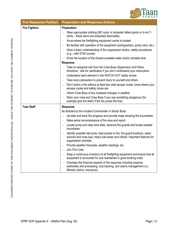

| <b>Fire Response Position</b> | <b>Preparation and Response Actions</b>                                                                                                                                                                                                                                                                                                                                                                                                                                                                                                                                                                                                                                                                                                                                                                                                                                                               |  |
|-------------------------------|-------------------------------------------------------------------------------------------------------------------------------------------------------------------------------------------------------------------------------------------------------------------------------------------------------------------------------------------------------------------------------------------------------------------------------------------------------------------------------------------------------------------------------------------------------------------------------------------------------------------------------------------------------------------------------------------------------------------------------------------------------------------------------------------------------------------------------------------------------------------------------------------------------|--|
| <b>Fire Fighters</b>          | <b>Preparation:</b><br>Wear appropriate clothing (NO nylon or polyester fallers pants or hi-vis T-<br>shirts - these items are extremely flammable)<br>Know where the firefighting equipment cache is located<br>Be familiar with operation of fire equipment (extinguishers, pump cans, etc.)<br>$\overline{\phantom{a}}$<br>Have a basic understanding of fire suppression tactics, safety procedures<br>(e.g., valid S100 course)<br>Know the location of the closest available water and/or portable tank<br>Response:<br>Take on assigned role from the Crew Boss (Supervisor) and follow<br>directions. Ask for clarification if you don't understand your instructions<br>Understand each element in the WATCH OUT safety review.                                                                                                                                                              |  |
|                               | Take every precaution to prevent injury to yourself and others<br>Don't action a fire without at least two safe escape routes, know where your<br>escape routes and safety zones are<br>Inform Crew Boss of any localized changes in weather<br>Warn your crew and Crew Boss if you see something dangerous (for<br>example give the alarm if the fire jumps the line)                                                                                                                                                                                                                                                                                                                                                                                                                                                                                                                                |  |
| <b>Taan Staff</b>             | Response:<br>As directed by the Incident Commander or Sector Boss:<br>Up-date and track fire progress and provide maps showing fire boundaries<br>Make aerial reconnaissance of fire area and report<br>Locate pump and relay tank sites, advance fire guards and locate isolated<br>boundaries<br>Identify possible heli-ports, best access to fire, fire guard locations, water<br>sources and hose lays, heavy fuel areas and critical / important features for<br>suppression activities<br>Provide weather forecasts, weather readings, etc.<br>Join Fire Crew<br>Keep a continuous inventory of all firefighting equipment and ensure that all<br>equipment is accounted for and maintained in good working order<br>Oversees the financial aspects of the response including expense<br>authorities and processing, cost tracking, and claims management (i.e.<br>Ministry claims, insurance). |  |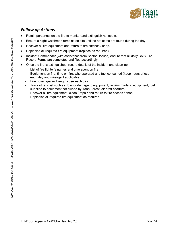

### <span id="page-14-0"></span>*Follow up Actions*

- Retain personnel on the fire to monitor and extinguish hot spots.
- Ensure a night watchman remains on site until no hot spots are found during the day.
- Recover all fire equipment and return to fire catches / shop.
- Replenish all required fire equipment (replace as required).
- Incident Commander (with assistance from Sector Bosses) ensure that all daily CMS Fire Record Forms are completed and filed accordingly.
- Once the fire is extinguished, record details of the incident and clean-up.
	- List of fire fighter's names and time spent on fire
	- Equipment on fire, time on fire, who operated and fuel consumed (keep hours of use each day and mileage if applicable)
	- Fire hose type and lengths use each day
	- Track other cost such as: loss or damage to equipment, repairs made to equipment, fuel supplied to equipment not owned by Taan Forest, air craft charters
	- Recover all fire equipment, clean / repair and return to fire caches / shop
	- Replenish all required fire equipment as required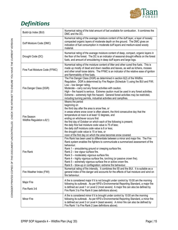

# <span id="page-15-0"></span>*Definitions*

|                                           | Numerical rating of the total amount of fuel available for combustion. It combines the                                                                                                                                                                                                                                                                                                                                                                                                                                                                                                                                                                                                                                            |
|-------------------------------------------|-----------------------------------------------------------------------------------------------------------------------------------------------------------------------------------------------------------------------------------------------------------------------------------------------------------------------------------------------------------------------------------------------------------------------------------------------------------------------------------------------------------------------------------------------------------------------------------------------------------------------------------------------------------------------------------------------------------------------------------|
| Build-Up Index (BUI)                      | DMC and the DC.                                                                                                                                                                                                                                                                                                                                                                                                                                                                                                                                                                                                                                                                                                                   |
| Duff Moisture Code (DMC)                  | Numerical rating of the average moisture content of the duff layer, a layer of loosely<br>compacted organic layers of moderate depth on the ground. The DMC gives an<br>indication of fuel consumption in moderate duff layers and medium-sized woody<br>material.                                                                                                                                                                                                                                                                                                                                                                                                                                                                |
| Drought Code (DC)                         | Numerical rating of the average moisture content of deep, compact, organic layers in<br>the floor of the forest. The DC is an indicator of seasonal drought effects on the forest<br>fuels, and amount of smouldering in deep duff layers and large logs.                                                                                                                                                                                                                                                                                                                                                                                                                                                                         |
| Fine Fuel Moisture Code (FFMC)            | Numerical rating of the moisture content of litter and other cured fine fuels. This is<br>made up mostly of dead and down needles and leaves, as well as lichens, mosses<br>and other small loose debris. The FFMC is an indicator of the relative ease of ignition<br>and flammability of fine fuels.                                                                                                                                                                                                                                                                                                                                                                                                                            |
| Fire Danger Class (DGR)                   | The Fire Danger Class (DGR) as determined in section 6(2) of the Wildfire<br>Regulation. DGR is determined by Fire Region (Schedule 1) using the BUI and FWI.<br>Low - low danger rating.<br>Moderate - carry out any forest activities with caution.<br>High - fire hazard is serious. Extreme caution must be used in any forest activities.<br>Extreme - extremely high fire hazard. General forest activities may be restricted,<br>including burning permits, industrial activities and campfires.                                                                                                                                                                                                                           |
| Fire Season<br>Wildfire Regulation s.6(1) | Means the period<br>beginning on<br>the third day after the area is snow free, or<br>in areas where snow cover is often absent, the third consecutive day that the<br>temperature at noon is at least 12 degrees, and<br>ending on whichever occurs first<br>the first day of October on which each of the following is present;<br>the daily fine fuel moisture code value is 75 of less;<br>the daily duff moisture code value is 6 or less;<br>the drought code value is 15 or less, or<br>noon of the first day on which the area becomes snow covered.                                                                                                                                                                       |
| Fire Rank<br>Fire Weather Index (FWI)     | Fire Rank has been used to differentiate between a minor and major fire. The Fire<br>Rank system enables fire fighters to communicate a summarized assessment of fire<br>behaviour.<br>Rank 1 - smouldering ground or creeping surface fire.<br>Rank 2 - low vigour surface fire.<br>Rank 3 - moderately vigorous surface fire.<br>Rank 4 – highly vigorous surface fire, torching (or passive crown fire).<br>Rank 5 - extremely vigorous surface fire or active crown fire.<br>Rank 6 - blow-up or conflagration; extreme fire behaviour.<br>Numerical rating of fire intensity. It combines the ISI and the BUI. It is suitable as a<br>general index of fire danger and accounts for the effects of fuel moisture and wind on |
|                                           | fire behaviour.                                                                                                                                                                                                                                                                                                                                                                                                                                                                                                                                                                                                                                                                                                                   |
| Major Fire<br>Fire Rank 3-6               | A fire is considered major if it is not brought under control by 10:00 am the morning<br>following its outbreak. As per KPS's Environmental Reporting Standard, a major fire<br>is defined as Level 1 or Level 2 (most severe) A major fire can also be defined by<br>Fire Rank 3 to Fire Rank 6 (see definitions above).                                                                                                                                                                                                                                                                                                                                                                                                         |
| Minor Fire                                | A fire is considered minor if it is brought under control by 10:00 am the morning<br>following its outbreak. As per KPS's Environmental Reporting Standard, a minor fire<br>is defined as Level 3 or Level 4 (least severe). A minor fire can also be defined by<br>Fire Rank 1 to Fire Rank 2 (see definitions above).                                                                                                                                                                                                                                                                                                                                                                                                           |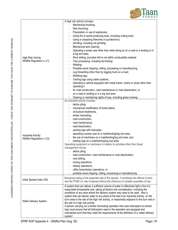

|                            | A high risk activity includes:                                                              |
|----------------------------|---------------------------------------------------------------------------------------------|
|                            | Mechanical brushing;                                                                        |
|                            | Disk trenching;                                                                             |
|                            | Preparation or use of explosives;                                                           |
|                            | Using fire or spark-producing tools, including cutting tools;                               |
|                            | Using or preparing fireworks or pyrotechnics;                                               |
|                            | Grinding, including rail grinding;                                                          |
|                            | Mechanical land clearing;                                                                   |
|                            | Operating a power saw other than while doing so on a road or a landing or in                |
|                            | a log sort area;                                                                            |
| <b>High Risk Activity</b>  | Rock drilling; provided drill is not within combustible material                            |
| Wildfire Regulation s.1(1) | Tree processing, including de-limbing;<br>$\qquad \qquad \blacksquare$                      |
|                            | Welding;<br>$\overline{\phantom{a}}$                                                        |
|                            | Portable wood chipping, milling, processing or manufacturing;                               |
|                            | Log forwarding other than by logging truck on a road;                                       |
|                            | Skidding logs;                                                                              |
|                            | Yarding logs using cable systems;                                                           |
|                            |                                                                                             |
|                            | Operating a vehicle equipped with metal tracks, chains or studs other than<br>operating it  |
|                            | for road construction, road maintenance or road deactivation, or                            |
|                            |                                                                                             |
|                            | on a road or landing or in a log sort area;                                                 |
|                            | Clearing or maintaining rights of way, including grass mowing.                              |
|                            | An industrial activity includes:                                                            |
|                            | debris piling,                                                                              |
|                            | mechanical modification of forest debris,                                                   |
|                            | silviculture treatments,                                                                    |
|                            | timber harvesting,                                                                          |
|                            | road construction,                                                                          |
|                            | road maintenance,                                                                           |
|                            | road deactivation,                                                                          |
|                            | yarding logs with helicopter,                                                               |
| <b>Industrial Activity</b> | operating a power saw on a road/landing/log sort area,                                      |
| Wildfire Regulation s.1(3) | the use of machinery on a road/landing/log sort area, and                                   |
|                            | loading logs on a road/landing/log sort area.                                               |
|                            | Operating equipment or machinery in relation to activities other than forest                |
|                            | management during                                                                           |
|                            | debris piling,                                                                              |
|                            | road construction, road maintenance or road deactivation,                                   |
|                            | rock drilling,                                                                              |
|                            | mining operations,                                                                          |
|                            | railway operations,                                                                         |
|                            | utility transmission operations, or                                                         |
|                            | portable wood chipping, milling, processing or manufacturing                                |
|                            | Numerical rating of the expected rate of fire spread. It combines the effects of wind       |
| Initial Spread Index (ISI) | and the FFMC on rate of spread without the influence of variable quantities of fuel.        |
|                            | A system that can deliver a sufficient volume of water to effectively fight a fire of a     |
|                            | reasonable foreseeable size, taking all factors into consideration, including the           |
|                            | conditions of any area where the delivery system may need to be used. Also a                |
|                            | system that can deliver water to any place at the site of an industrial activity, on the    |
|                            | burn area or the site of the high risk activity, or reasonably adjacent to the burn site or |
| Water Delivery System      | the site of a high risk activity.                                                           |
|                            | A person carrying out a timber harvesting operation that uses helicopters to extract        |
|                            | logs must ensure that all helicopters used in the operation are equipped and                |
|                            | maintained such that they meet the requirements of the definition of a "water delivery      |
|                            | system".                                                                                    |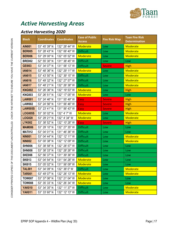

# <span id="page-17-0"></span>*Active Harvesting Areas*

### <span id="page-17-1"></span>*Active Harvesting 2020*

| <b>Block</b>   | <b>Coordinates</b> | <b>Coordinates</b> | <b>Ease of Public</b><br><b>Access</b> | <b>Fire Risk Map</b> | <b>Taan Fire Risk</b><br><b>Determination</b> |  |  |
|----------------|--------------------|--------------------|----------------------------------------|----------------------|-----------------------------------------------|--|--|
| <b>AIN001</b>  | 53° 45' 39" N      | 132° 28' 44" W     | Moderate                               | Low                  | <b>Moderate</b>                               |  |  |
| <b>BER005</b>  | 53° 28' 43" N      | 132° 06' 40" W     | <b>Difficult</b>                       | Low                  | <b>Moderate</b>                               |  |  |
| <b>BER006</b>  | 53° 29' 00" N      | 132° 05' 52" W     | Moderate                               | Low                  | <b>Moderate</b>                               |  |  |
| <b>BRE002</b>  | 52° 55' 30" N      | 131° 38' 45" W     | <b>Difficult</b>                       | Low                  | Low                                           |  |  |
| <b>GEI003</b>  | 53° 34' 07" N      | 131° 58' 13" W     | <b>Difficult</b>                       | <b>Severe</b>        | <b>High</b>                                   |  |  |
| <b>IAN014</b>  | 53° 48' 36" N      | 132° 29' 11" W     | Moderate                               | Low                  | <b>Moderate</b>                               |  |  |
| <b>IAN015</b>  | 53° 43' 50" N      | 132° 39' 15" W     | <b>Difficult</b>                       | Low                  | <b>Moderate</b>                               |  |  |
| <b>IAN016</b>  | 53° 49' 32" N      | 132° 27' 57" W     | <b>Difficult</b>                       | Low                  | <b>Moderate</b>                               |  |  |
| <b>IAN017</b>  | 53° 48' 21" N      | 132° 26' 38" W     | <b>Difficult</b>                       | Low                  | <b>Moderate</b>                               |  |  |
| <b>KNG002</b>  | 53° 26' 36" N      | 132° 19' 53" W     | Moderate                               | Low                  | <b>High</b>                                   |  |  |
| <b>KNG003</b>  | 53° 26' 51" N      | 132° 17' 05" W     | Moderate                               | Low                  | Low                                           |  |  |
| <b>LAW001</b>  | 53° 24' 46" N      | 131° 55' 49" W     | <b>Easy</b>                            | <b>Severe</b>        | <b>High</b>                                   |  |  |
| <b>LAW002</b>  | 53° 24' 56" N      | 131° 56' 46" W     | Easy                                   | <b>Severe</b>        | <b>High</b>                                   |  |  |
| <b>LAW005S</b> | 53° 23' 41" N      | 131° 56' 43" W     | Easy                                   | <b>Severe</b>        | <b>High</b>                                   |  |  |
| <b>LOG005S</b> | 53° 30' 02" N      | 132° 4' 7" W       | <b>Moderate</b>                        | Low                  | <b>Moderate</b>                               |  |  |
| <b>LOG020</b>  | 53° 29' 21" N      | 132° 4' 34" W      | Moderate                               | Low                  | <b>Moderate</b>                               |  |  |
| <b>LYK002</b>  | 53° 38' 52" N      | 132° 10' 28" W     | Easy                                   | <b>Severe</b>        | <b>High</b>                                   |  |  |
| <b>MAM006</b>  | 53° 29' 10" N      | 132° 27' 35" W     | <b>Difficult</b>                       | Low                  | Low                                           |  |  |
| <b>MAT012</b>  | 53° 04' 01" N      | 131° 46' 36" W     | <b>Difficult</b>                       | Low                  | Low                                           |  |  |
| <b>NIN001</b>  | 53° 04' 44" N      | 132° 12' 11" W     | <b>Difficult</b>                       | Low                  | <b>Moderate</b>                               |  |  |
| <b>NIN002</b>  | 53° 00' 38" N      | 132° 12' 09" W     | <b>Difficult</b>                       | Low                  | <b>Moderate</b>                               |  |  |
| <b>SHN006</b>  | 53° 38' 58" N      | 132° 28' 57" W     | <b>Difficult</b>                       | Low                  | Low                                           |  |  |
| <b>SHN008</b>  | 53° 38' 33" N      | 132° 28' 26" W     | <b>Difficult</b>                       | Low                  | Low                                           |  |  |
| <b>SKE008</b>  | 52° 56' 37" N      | 131° 39' 36" W     | <b>Difficult</b>                       | Low                  | Low                                           |  |  |
| <b>SKI013</b>  | 53° 04' 54" N      | 131° 54' 28" W     | Moderate                               | Low                  | Low                                           |  |  |
| <b>SKI015</b>  | 53° 05' 02" N      | 131° 56' 09" W     | Moderate                               | Low                  | Low                                           |  |  |
| <b>TAL001</b>  | 53° 34' 09" N      | 132° 38' 0" W      | <b>Difficult</b>                       | Low                  | <b>Moderate</b>                               |  |  |
| <b>TAR001</b>  | 53° 49' 07" N      | 132° 26' 13" W     | Moderate                               | Low                  | <b>Moderate</b>                               |  |  |
| <b>TOW007</b>  | 53° 37' 06" N      | 132° 21' 04" W     | <b>Moderate</b>                        | Low                  | Low                                           |  |  |
| <b>TOW008</b>  | 53° 35' 33" N      | 132° 26' 34" W     | <b>Moderate</b>                        | Low                  | Low                                           |  |  |
| <b>YAK010</b>  | 53° 34' 35" N      | 132° 11' 37" W     | <b>Difficult</b>                       | Low                  | <b>Moderate</b>                               |  |  |
| <b>YAK011</b>  | 53° 33' 60" N      | 132° 12' 13" W     | <b>Difficult</b>                       | Low                  | Moderate                                      |  |  |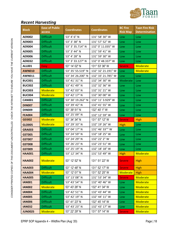

# <span id="page-18-0"></span>*Recent Harvesting*

| <b>Block</b>   | <b>Ease of Public</b><br>access | <b>Coordinates</b> | <b>Coordinates</b> | <b>BC Fire</b><br><b>Risk Map</b> | <b>Taan Fire Risk</b><br><b>Determination</b> |
|----------------|---------------------------------|--------------------|--------------------|-----------------------------------|-----------------------------------------------|
| <b>AER002</b>  | <b>Difficult</b>                | 53° 4' 6" N        | 131° 58' 30" W     | Low                               | Low                                           |
| <b>AER003</b>  | <b>Difficult</b>                | 53° 3' 38" N       | 131° 57' 52" W     | Low                               | Low                                           |
| <b>AER004</b>  | <b>Difficult</b>                | 53° 3' 35.714" N   | 132° 0' 11.035" W  | Low                               | Low                                           |
| <b>AER005</b>  | <b>Difficult</b>                | 53° 3' 44" N       | 131° 59' 41" W     | Low                               | Low                                           |
| <b>AER006</b>  | <b>Difficult</b>                | 53° 4' 28" N       | 131° 59' 30" W     | Low                               | Low                                           |
| <b>AER032</b>  | <b>Difficult</b>                | 53° 3' 33.127" N   | 132° 0' 48.337" W  | Low                               | Low                                           |
| <b>ALL001</b>  | Easy                            | 53° 14' 02" N      | 131° 53' 36" W     | <b>Severe</b>                     | <b>Moderate</b>                               |
| <b>AWN010</b>  | <b>Difficult</b>                | 53° 35' 55.519" N  | 132° 32' 21.191" W | Low                               | Moderate                                      |
| <b>AWN011</b>  | <b>Difficult</b>                | 53° 34' 26.200" N  | 132° 33' 21.785" W | Low                               | Low                                           |
| <b>BUC001</b>  | <b>Difficult</b>                | 53° 41' 31" N      | 132° 34' 30" W     | Moderate                          | Low                                           |
| <b>BUC002</b>  | <b>Difficult</b>                | 53° 41' 49" N      | 132° 32' 36" W     | Low                               | Low                                           |
| <b>BUC003</b>  | <b>Moderate</b>                 | 53° 42' 03" N      | 132° 31' 21" W     | Low                               | Low                                           |
| <b>BUC004</b>  | <b>Moderate</b>                 | 53° 42' 17" N      | 132° 30' 00" W     | Low                               | Low                                           |
| <b>CAN001</b>  | <b>Difficult</b>                | 53° 30' 19.262" N  | 132° 11' 3.929" W  | Low                               | Low                                           |
| <b>DIN007</b>  | <b>Difficult</b>                | 53° 39' 42" N      | 132° 41' 55" W     | Low                               | Low                                           |
| <b>DIN009</b>  | <b>Difficult</b>                | 53° 39' 51" N      | 132° 40' 1" W      | Low                               | Low                                           |
| <b>FEA004</b>  | <b>Difficult</b>                | 53° 25' 09" N      | 132° 12' 59" W     | Low                               | Low                                           |
| <b>GEI002</b>  | <b>Moderate</b>                 | 53° 34' 34" N      | 131° 57' 12" W     | <b>Severe</b>                     | <b>High</b>                                   |
| <b>GLD005</b>  | <b>Moderate</b>                 | 53° 29' 33" N      | 132° 19' 26" W     | <b>High</b>                       | Low                                           |
| <b>GRA003</b>  | <b>Difficult</b>                | 53° 04' 17" N      | 131° 46' 33"" W    | Low                               | Low                                           |
| <b>GST005</b>  | <b>Difficult</b>                | 53° 24' 59" N      | 132° 18' 25" W     | Low                               | Low                                           |
| <b>GST007</b>  | <b>Difficult</b>                | 53° 24' 29" N      | 132° 22' 2" W      | Low                               | Low                                           |
| <b>GST008</b>  | <b>Difficult</b>                | 53° 26' 23" N      | 132° 23' 51" W     | Low                               | Low                                           |
| <b>GST009</b>  | <b>Difficult</b>                | 53° 25' 19" N      | 132° 18' 18" W     | Low                               | Low                                           |
| <b>HAA001</b>  | <b>Difficult</b>                | 53° 12' 34" N      | 131° 53' 49" W     | <b>High</b>                       | <b>Moderate</b>                               |
| <b>HAA002</b>  | Moderate                        | 53° 12' 52" N      | 131° 51' 22" W     | <b>Severe</b>                     | <b>High</b>                                   |
| <b>HAA003</b>  | <b>Difficult</b>                | 53° 12' 48" N      | 131° 52' 17" W     | <b>Severe</b>                     | <b>High</b>                                   |
| <b>HAA004</b>  | <b>Moderate</b>                 | 53° 12' 01" N      | 131° 52' 25" W     | <b>Moderate</b>                   | <b>High</b>                                   |
| <b>HAA005</b>  | <b>Difficult</b>                | 53° 13' 08" N      | 131° 53' 34" W     | <b>Severe</b>                     | Moderate                                      |
| <b>IAN001</b>  | <b>Difficult</b>                | 53° 43' 54" N      | 132° 40' 46" W     | Low                               | Moderate                                      |
| <b>IAN002</b>  | <b>Moderate</b>                 | 53° 43' 26" N      | 132° 41' 34" W     | Low                               | <b>Moderate</b>                               |
| <b>IAN004</b>  | <b>Difficult</b>                | 53° 42' 51" N      | 132° 43' 44" W     | Low                               | <b>Moderate</b>                               |
| <b>IAN005</b>  | <b>Difficult</b>                | 53° 42' 19" N      | 132° 44' 11" W     | Low                               | <b>Moderate</b>                               |
| <b>IAN006</b>  | <b>Difficult</b>                | 53° 41' 23" N      | 132° 45' 14" W     | Low                               | Moderate                                      |
| <b>IAN032</b>  | <b>Difficult</b>                | 53° 43' 23" N      | 132° 43' 17" W     | Low                               | <b>Moderate</b>                               |
| <b>JUN002S</b> | <b>Moderate</b>                 | 53° 22' 29" N      | 131° 57' 14" W     | <b>Severe</b>                     | Moderate                                      |